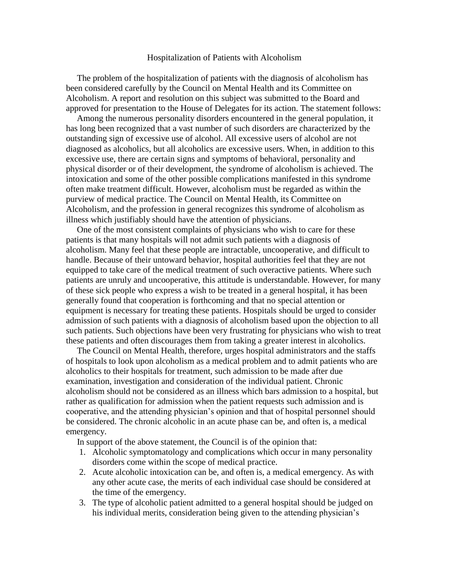## Hospitalization of Patients with Alcoholism

 The problem of the hospitalization of patients with the diagnosis of alcoholism has been considered carefully by the Council on Mental Health and its Committee on Alcoholism. A report and resolution on this subject was submitted to the Board and approved for presentation to the House of Delegates for its action. The statement follows:

 Among the numerous personality disorders encountered in the general population, it has long been recognized that a vast number of such disorders are characterized by the outstanding sign of excessive use of alcohol. All excessive users of alcohol are not diagnosed as alcoholics, but all alcoholics are excessive users. When, in addition to this excessive use, there are certain signs and symptoms of behavioral, personality and physical disorder or of their development, the syndrome of alcoholism is achieved. The intoxication and some of the other possible complications manifested in this syndrome often make treatment difficult. However, alcoholism must be regarded as within the purview of medical practice. The Council on Mental Health, its Committee on Alcoholism, and the profession in general recognizes this syndrome of alcoholism as illness which justifiably should have the attention of physicians.

 One of the most consistent complaints of physicians who wish to care for these patients is that many hospitals will not admit such patients with a diagnosis of alcoholism. Many feel that these people are intractable, uncooperative, and difficult to handle. Because of their untoward behavior, hospital authorities feel that they are not equipped to take care of the medical treatment of such overactive patients. Where such patients are unruly and uncooperative, this attitude is understandable. However, for many of these sick people who express a wish to be treated in a general hospital, it has been generally found that cooperation is forthcoming and that no special attention or equipment is necessary for treating these patients. Hospitals should be urged to consider admission of such patients with a diagnosis of alcoholism based upon the objection to all such patients. Such objections have been very frustrating for physicians who wish to treat these patients and often discourages them from taking a greater interest in alcoholics.

 The Council on Mental Health, therefore, urges hospital administrators and the staffs of hospitals to look upon alcoholism as a medical problem and to admit patients who are alcoholics to their hospitals for treatment, such admission to be made after due examination, investigation and consideration of the individual patient. Chronic alcoholism should not be considered as an illness which bars admission to a hospital, but rather as qualification for admission when the patient requests such admission and is cooperative, and the attending physician's opinion and that of hospital personnel should be considered. The chronic alcoholic in an acute phase can be, and often is, a medical emergency.

In support of the above statement, the Council is of the opinion that:

- 1. Alcoholic symptomatology and complications which occur in many personality disorders come within the scope of medical practice.
- 2. Acute alcoholic intoxication can be, and often is, a medical emergency. As with any other acute case, the merits of each individual case should be considered at the time of the emergency.
- 3. The type of alcoholic patient admitted to a general hospital should be judged on his individual merits, consideration being given to the attending physician's